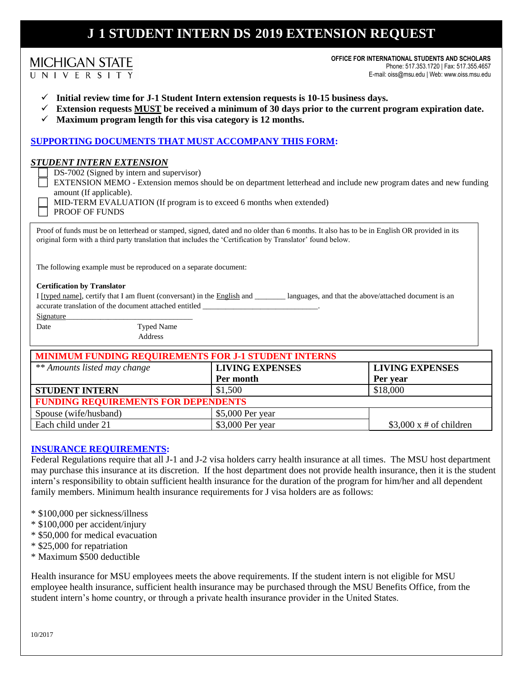# **J-1 STUDENT INTERN DS-2019 EXTENSION REQUEST**

|  | <b>MICHIGAN STATE</b> |  |  |  |
|--|-----------------------|--|--|--|
|  | UNIVERSITY            |  |  |  |

**OFFICE FOR INTERNATIONAL STUDENTS AND SCHOLARS** Phone: 517.353.1720 | Fax: 517.355.4657 E-mail: oiss@msu.edu | Web: www.oiss.msu.edu

- **Initial review time for J-1 Student Intern extension requests is 10-15 business days.**
- **Extension requests MUST be received a minimum of 30 days prior to the current program expiration date.**
- $\checkmark$  Maximum program length for this visa category is 12 months.

## **SUPPORTING DOCUMENTS THAT MUST ACCOMPANY THIS FORM:**

#### *STUDENT INTERN EXTENSION*

DS-7002 (Signed by intern and supervisor)

- EXTENSION MEMO Extension memos should be on department letterhead and include new program dates and new funding amount (If applicable).
	- MID-TERM EVALUATION (If program is to exceed 6 months when extended)
	- PROOF OF FUNDS

Proof of funds must be on letterhead or stamped, signed, dated and no older than 6 months. It also has to be in English OR provided in its original form with a third party translation that includes the 'Certification by Translator' found below.

The following example must be reproduced on a separate document:

#### **Certification by Translator**

I [typed name], certify that I am fluent (conversant) in the English and \_\_\_\_\_\_\_\_ languages, and that the above/attached document is an accurate translation of the document attached entitled \_

Date Typed Name

Address

| MINIMUM FUNDING REQUIREMENTS FOR J-1 STUDENT INTERNS |                        |                               |  |  |  |
|------------------------------------------------------|------------------------|-------------------------------|--|--|--|
| ** Amounts listed may change                         | <b>LIVING EXPENSES</b> | <b>LIVING EXPENSES</b>        |  |  |  |
|                                                      | Per month              | Per year                      |  |  |  |
| <b>STUDENT INTERN</b>                                | \$1,500                | \$18,000                      |  |  |  |
| <b>FUNDING REQUIREMENTS FOR DEPENDENTS</b>           |                        |                               |  |  |  |
| Spouse (wife/husband)                                | \$5,000 Per year       |                               |  |  |  |
| Each child under 21                                  | \$3,000 Per year       | $$3,000 \times #$ of children |  |  |  |

## **INSURANCE REQUIREMENTS:**

Federal Regulations require that all J-1 and J-2 visa holders carry health insurance at all times. The MSU host department may purchase this insurance at its discretion. If the host department does not provide health insurance, then it is the student intern's responsibility to obtain sufficient health insurance for the duration of the program for him/her and all dependent family members. Minimum health insurance requirements for J visa holders are as follows:

- \* \$100,000 per sickness/illness
- \* \$100,000 per accident/injury
- \* \$50,000 for medical evacuation
- \* \$25,000 for repatriation
- \* Maximum \$500 deductible

Health insurance for MSU employees meets the above requirements. If the student intern is not eligible for MSU employee health insurance, sufficient health insurance may be purchased through the MSU Benefits Office, from the student intern's home country, or through a private health insurance provider in the United States.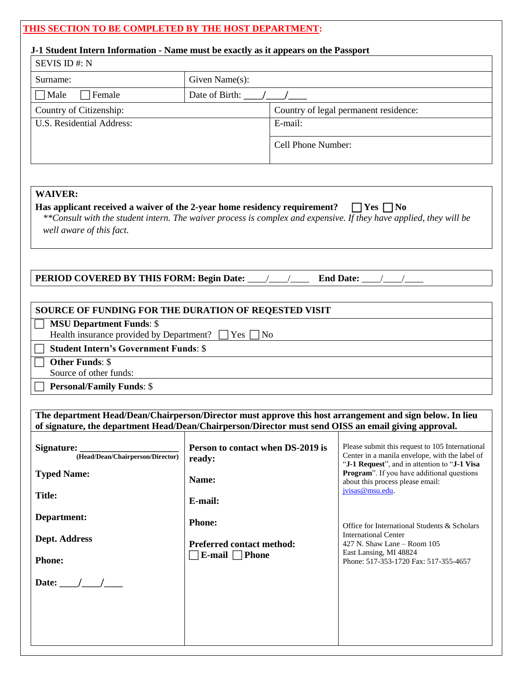## **THIS SECTION TO BE COMPLETED BY THE HOST DEPARTMENT:**

## **J-1 Student Intern Information - Name must be exactly as it appears on the Passport**

| SEVIS ID#: N              |                    |                                       |  |  |  |
|---------------------------|--------------------|---------------------------------------|--|--|--|
| Surname:                  | Given Name $(s)$ : |                                       |  |  |  |
| Female<br>Male            | Date of Birth:     |                                       |  |  |  |
| Country of Citizenship:   |                    | Country of legal permanent residence: |  |  |  |
| U.S. Residential Address: |                    | E-mail:                               |  |  |  |
|                           |                    | Cell Phone Number:                    |  |  |  |

## **WAIVER:**

#### **Has applicant received a waiver of the 2-year home residency requirement?**  $\Box$  Yes  $\Box$  No *\*\*Consult with the student intern. The waiver process is complex and expensive. If they have applied, they will be*

*well aware of this fact.*

**PERIOD COVERED BY THIS FORM: Begin Date:** \_\_\_\_/\_\_\_\_/\_\_\_\_\_ End Date: \_\_\_\_/\_\_

## **SOURCE OF FUNDING FOR THE DURATION OF REQESTED VISIT**

## **MSU Department Funds**: \$

Health insurance provided by Department?  $\Box$  Yes  $\Box$  No

**Student Intern's Government Funds**: \$

**Other Funds**: \$

Source of other funds:

**Personal/Family Funds**: \$

**The department Head/Dean/Chairperson/Director must approve this host arrangement and sign below. In lieu of signature, the department Head/Dean/Chairperson/Director must send OISS an email giving approval.**

| Signature:<br>(Head/Dean/Chairperson/Director) | Person to contact when DS-2019 is<br>ready:             | Please submit this request to 105 International<br>Center in a manila envelope, with the label of<br>"J-1 Request", and in attention to "J-1 Visa                               |  |  |
|------------------------------------------------|---------------------------------------------------------|---------------------------------------------------------------------------------------------------------------------------------------------------------------------------------|--|--|
| <b>Typed Name:</b>                             | Name:                                                   | <b>Program</b> ". If you have additional questions<br>about this process please email:<br>jvisas@msu.edu.                                                                       |  |  |
| <b>Title:</b>                                  | E-mail:                                                 |                                                                                                                                                                                 |  |  |
| Department:                                    | <b>Phone:</b>                                           | Office for International Students & Scholars<br><b>International Center</b><br>427 N. Shaw Lane $-$ Room 105<br>East Lansing, MI 48824<br>Phone: 517-353-1720 Fax: 517-355-4657 |  |  |
| Dept. Address                                  | <b>Preferred contact method:</b><br>E-mail $\Box$ Phone |                                                                                                                                                                                 |  |  |
| <b>Phone:</b>                                  |                                                         |                                                                                                                                                                                 |  |  |
| Date: $\frac{1}{\sqrt{2}}$                     |                                                         |                                                                                                                                                                                 |  |  |
|                                                |                                                         |                                                                                                                                                                                 |  |  |
|                                                |                                                         |                                                                                                                                                                                 |  |  |